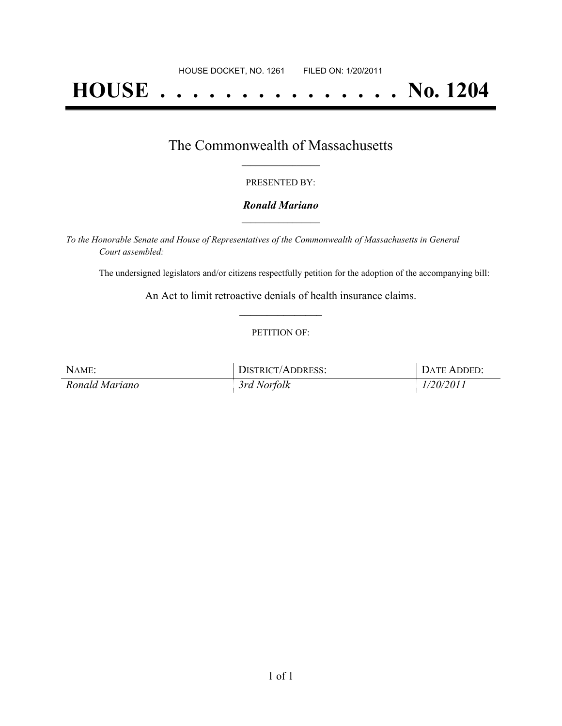# **HOUSE . . . . . . . . . . . . . . . No. 1204**

## The Commonwealth of Massachusetts **\_\_\_\_\_\_\_\_\_\_\_\_\_\_\_\_\_**

#### PRESENTED BY:

#### *Ronald Mariano* **\_\_\_\_\_\_\_\_\_\_\_\_\_\_\_\_\_**

*To the Honorable Senate and House of Representatives of the Commonwealth of Massachusetts in General Court assembled:*

The undersigned legislators and/or citizens respectfully petition for the adoption of the accompanying bill:

An Act to limit retroactive denials of health insurance claims. **\_\_\_\_\_\_\_\_\_\_\_\_\_\_\_**

#### PETITION OF:

| NAME:          | DISTRICT/ADDRESS: | DATE ADDED: |
|----------------|-------------------|-------------|
| Ronald Mariano | 3rd Norfolk       | 1/20/2011   |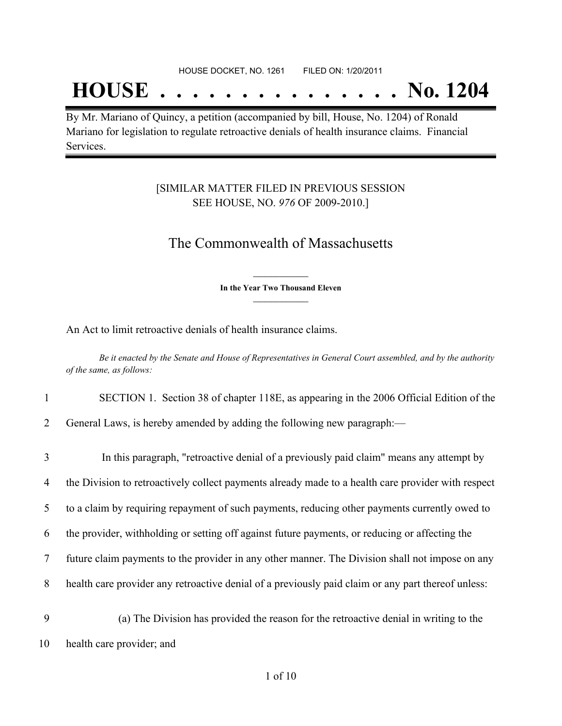## **HOUSE . . . . . . . . . . . . . . . No. 1204**

By Mr. Mariano of Quincy, a petition (accompanied by bill, House, No. 1204) of Ronald Mariano for legislation to regulate retroactive denials of health insurance claims. Financial Services.

### [SIMILAR MATTER FILED IN PREVIOUS SESSION SEE HOUSE, NO. *976* OF 2009-2010.]

### The Commonwealth of Massachusetts

**\_\_\_\_\_\_\_\_\_\_\_\_\_\_\_ In the Year Two Thousand Eleven \_\_\_\_\_\_\_\_\_\_\_\_\_\_\_**

An Act to limit retroactive denials of health insurance claims.

Be it enacted by the Senate and House of Representatives in General Court assembled, and by the authority *of the same, as follows:*

- 1 SECTION 1. Section 38 of chapter 118E, as appearing in the 2006 Official Edition of the
- 2 General Laws, is hereby amended by adding the following new paragraph:—

| 3        | In this paragraph, "retroactive denial of a previously paid claim" means any attempt by                                                                                                                                                                       |
|----------|---------------------------------------------------------------------------------------------------------------------------------------------------------------------------------------------------------------------------------------------------------------|
| 4        | the Division to retroactively collect payments already made to a health care provider with respect                                                                                                                                                            |
| 5        | to a claim by requiring repayment of such payments, reducing other payments currently owed to                                                                                                                                                                 |
| 6        | the provider, withholding or setting off against future payments, or reducing or affecting the                                                                                                                                                                |
| 7        | future claim payments to the provider in any other manner. The Division shall not impose on any                                                                                                                                                               |
| 8        | health care provider any retroactive denial of a previously paid claim or any part thereof unless:                                                                                                                                                            |
| $\Omega$ | $\ell \setminus \mathsf{m} \mathsf{1} \cup \mathsf{m} \mathsf{1}$ and the contract of the contract of the contract of the contract of the contract of the contract of the contract of the contract of the contract of the contract of the contract of the con |

9 (a) The Division has provided the reason for the retroactive denial in writing to the 10 health care provider; and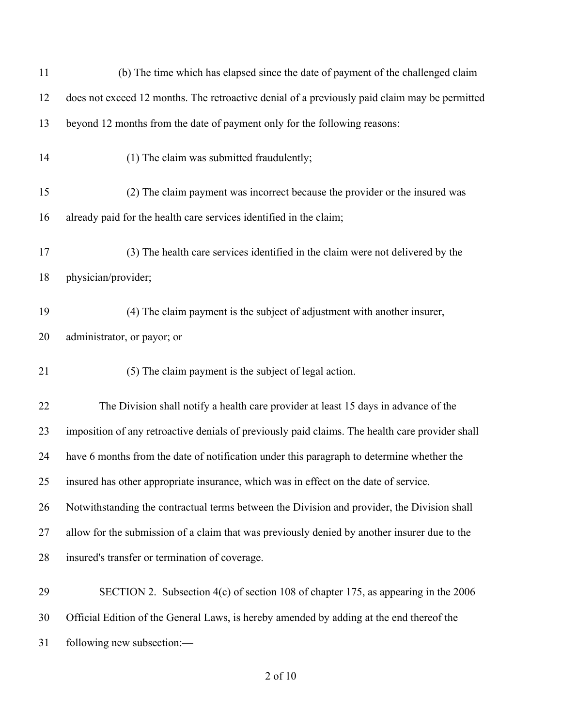| 11 | (b) The time which has elapsed since the date of payment of the challenged claim                |
|----|-------------------------------------------------------------------------------------------------|
| 12 | does not exceed 12 months. The retroactive denial of a previously paid claim may be permitted   |
| 13 | beyond 12 months from the date of payment only for the following reasons:                       |
| 14 | (1) The claim was submitted fraudulently;                                                       |
| 15 | (2) The claim payment was incorrect because the provider or the insured was                     |
| 16 | already paid for the health care services identified in the claim;                              |
| 17 | (3) The health care services identified in the claim were not delivered by the                  |
| 18 | physician/provider;                                                                             |
| 19 | (4) The claim payment is the subject of adjustment with another insurer,                        |
| 20 | administrator, or payor; or                                                                     |
| 21 | (5) The claim payment is the subject of legal action.                                           |
| 22 | The Division shall notify a health care provider at least 15 days in advance of the             |
| 23 | imposition of any retroactive denials of previously paid claims. The health care provider shall |
| 24 | have 6 months from the date of notification under this paragraph to determine whether the       |
| 25 | insured has other appropriate insurance, which was in effect on the date of service.            |
| 26 | Notwithstanding the contractual terms between the Division and provider, the Division shall     |
| 27 | allow for the submission of a claim that was previously denied by another insurer due to the    |
| 28 | insured's transfer or termination of coverage.                                                  |
| 29 | SECTION 2. Subsection 4(c) of section 108 of chapter 175, as appearing in the 2006              |
| 30 | Official Edition of the General Laws, is hereby amended by adding at the end thereof the        |
| 31 | following new subsection:-                                                                      |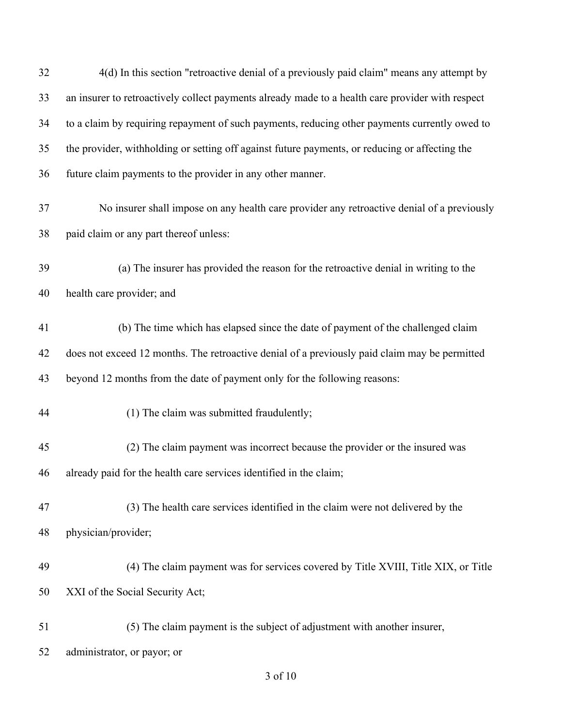| 32 | 4(d) In this section "retroactive denial of a previously paid claim" means any attempt by        |
|----|--------------------------------------------------------------------------------------------------|
| 33 | an insurer to retroactively collect payments already made to a health care provider with respect |
| 34 | to a claim by requiring repayment of such payments, reducing other payments currently owed to    |
| 35 | the provider, withholding or setting off against future payments, or reducing or affecting the   |
| 36 | future claim payments to the provider in any other manner.                                       |
| 37 | No insurer shall impose on any health care provider any retroactive denial of a previously       |
| 38 | paid claim or any part thereof unless:                                                           |
| 39 | (a) The insurer has provided the reason for the retroactive denial in writing to the             |
| 40 | health care provider; and                                                                        |
| 41 | (b) The time which has elapsed since the date of payment of the challenged claim                 |
| 42 | does not exceed 12 months. The retroactive denial of a previously paid claim may be permitted    |
| 43 | beyond 12 months from the date of payment only for the following reasons:                        |
| 44 | (1) The claim was submitted fraudulently;                                                        |
| 45 | (2) The claim payment was incorrect because the provider or the insured was                      |
| 46 | already paid for the health care services identified in the claim;                               |
| 47 | (3) The health care services identified in the claim were not delivered by the                   |
| 48 | physician/provider;                                                                              |
| 49 | (4) The claim payment was for services covered by Title XVIII, Title XIX, or Title               |
| 50 | XXI of the Social Security Act;                                                                  |
| 51 | (5) The claim payment is the subject of adjustment with another insurer,                         |
| 52 | administrator, or payor; or                                                                      |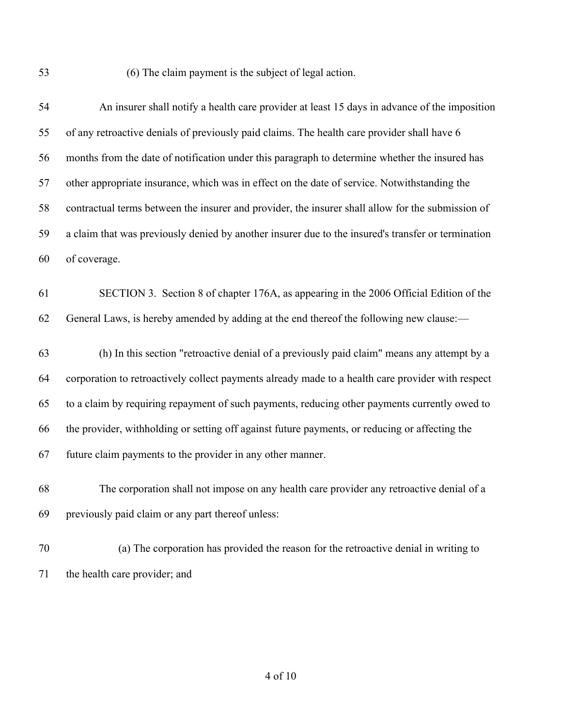(6) The claim payment is the subject of legal action.

| 54 | An insurer shall notify a health care provider at least 15 days in advance of the imposition       |
|----|----------------------------------------------------------------------------------------------------|
| 55 | of any retroactive denials of previously paid claims. The health care provider shall have 6        |
| 56 | months from the date of notification under this paragraph to determine whether the insured has     |
| 57 | other appropriate insurance, which was in effect on the date of service. Notwithstanding the       |
| 58 | contractual terms between the insurer and provider, the insurer shall allow for the submission of  |
| 59 | a claim that was previously denied by another insurer due to the insured's transfer or termination |
| 60 | of coverage.                                                                                       |
| 61 | SECTION 3. Section 8 of chapter 176A, as appearing in the 2006 Official Edition of the             |
| 62 | General Laws, is hereby amended by adding at the end thereof the following new clause:—            |
| 63 | (h) In this section "retroactive denial of a previously paid claim" means any attempt by a         |
| 64 | corporation to retroactively collect payments already made to a health care provider with respect  |
| 65 | to a claim by requiring repayment of such payments, reducing other payments currently owed to      |
| 66 | the provider, withholding or setting off against future payments, or reducing or affecting the     |
| 67 | future claim payments to the provider in any other manner.                                         |
| 68 | The corporation shall not impose on any health care provider any retroactive denial of a           |
| 69 | previously paid claim or any part thereof unless:                                                  |
| 70 | (a) The corporation has provided the reason for the retroactive denial in writing to               |
| 71 | the health care provider; and                                                                      |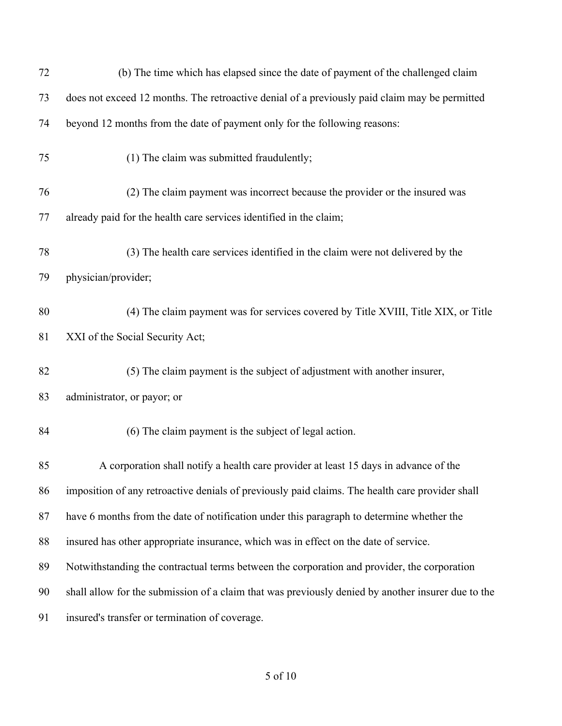| 72 | (b) The time which has elapsed since the date of payment of the challenged claim                   |
|----|----------------------------------------------------------------------------------------------------|
| 73 | does not exceed 12 months. The retroactive denial of a previously paid claim may be permitted      |
| 74 | beyond 12 months from the date of payment only for the following reasons:                          |
| 75 | (1) The claim was submitted fraudulently;                                                          |
| 76 | (2) The claim payment was incorrect because the provider or the insured was                        |
| 77 | already paid for the health care services identified in the claim;                                 |
| 78 | (3) The health care services identified in the claim were not delivered by the                     |
| 79 | physician/provider;                                                                                |
| 80 | (4) The claim payment was for services covered by Title XVIII, Title XIX, or Title                 |
| 81 | XXI of the Social Security Act;                                                                    |
| 82 | (5) The claim payment is the subject of adjustment with another insurer,                           |
| 83 | administrator, or payor; or                                                                        |
| 84 | (6) The claim payment is the subject of legal action.                                              |
| 85 | A corporation shall notify a health care provider at least 15 days in advance of the               |
| 86 | imposition of any retroactive denials of previously paid claims. The health care provider shall    |
| 87 | have 6 months from the date of notification under this paragraph to determine whether the          |
| 88 | insured has other appropriate insurance, which was in effect on the date of service.               |
| 89 | Notwithstanding the contractual terms between the corporation and provider, the corporation        |
| 90 | shall allow for the submission of a claim that was previously denied by another insurer due to the |
| 91 | insured's transfer or termination of coverage.                                                     |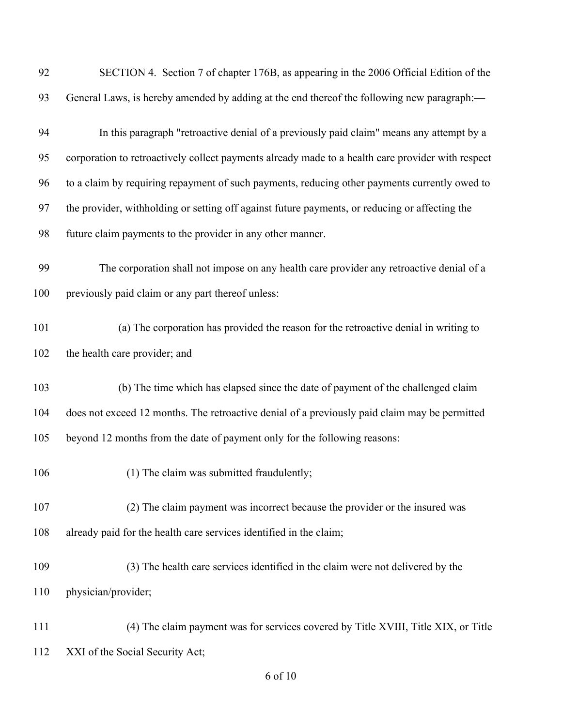| 92  | SECTION 4. Section 7 of chapter 176B, as appearing in the 2006 Official Edition of the            |
|-----|---------------------------------------------------------------------------------------------------|
| 93  | General Laws, is hereby amended by adding at the end thereof the following new paragraph:—        |
| 94  | In this paragraph "retroactive denial of a previously paid claim" means any attempt by a          |
| 95  | corporation to retroactively collect payments already made to a health care provider with respect |
| 96  | to a claim by requiring repayment of such payments, reducing other payments currently owed to     |
| 97  | the provider, withholding or setting off against future payments, or reducing or affecting the    |
| 98  | future claim payments to the provider in any other manner.                                        |
| 99  | The corporation shall not impose on any health care provider any retroactive denial of a          |
| 100 | previously paid claim or any part thereof unless:                                                 |
| 101 | (a) The corporation has provided the reason for the retroactive denial in writing to              |
| 102 | the health care provider; and                                                                     |
| 103 | (b) The time which has elapsed since the date of payment of the challenged claim                  |
| 104 | does not exceed 12 months. The retroactive denial of a previously paid claim may be permitted     |
| 105 | beyond 12 months from the date of payment only for the following reasons:                         |
| 106 | (1) The claim was submitted fraudulently;                                                         |
| 107 | (2) The claim payment was incorrect because the provider or the insured was                       |
| 108 | already paid for the health care services identified in the claim;                                |
| 109 | (3) The health care services identified in the claim were not delivered by the                    |
| 110 | physician/provider;                                                                               |
| 111 | (4) The claim payment was for services covered by Title XVIII, Title XIX, or Title                |
| 112 | XXI of the Social Security Act;                                                                   |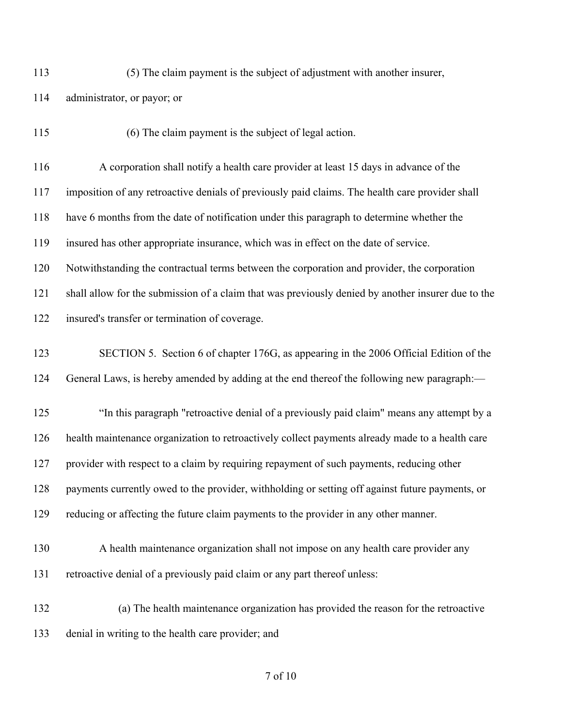$(5)$  The claim payment is the subject of adjustment with another insurer,

- administrator, or payor; or
- 

(6) The claim payment is the subject of legal action.

 A corporation shall notify a health care provider at least 15 days in advance of the imposition of any retroactive denials of previously paid claims. The health care provider shall have 6 months from the date of notification under this paragraph to determine whether the insured has other appropriate insurance, which was in effect on the date of service. Notwithstanding the contractual terms between the corporation and provider, the corporation shall allow for the submission of a claim that was previously denied by another insurer due to the insured's transfer or termination of coverage.

## SECTION 5. Section 6 of chapter 176G, as appearing in the 2006 Official Edition of the General Laws, is hereby amended by adding at the end thereof the following new paragraph:—

 "In this paragraph "retroactive denial of a previously paid claim" means any attempt by a health maintenance organization to retroactively collect payments already made to a health care provider with respect to a claim by requiring repayment of such payments, reducing other 128 payments currently owed to the provider, withholding or setting off against future payments, or reducing or affecting the future claim payments to the provider in any other manner.

- A health maintenance organization shall not impose on any health care provider any retroactive denial of a previously paid claim or any part thereof unless:
- (a) The health maintenance organization has provided the reason for the retroactive denial in writing to the health care provider; and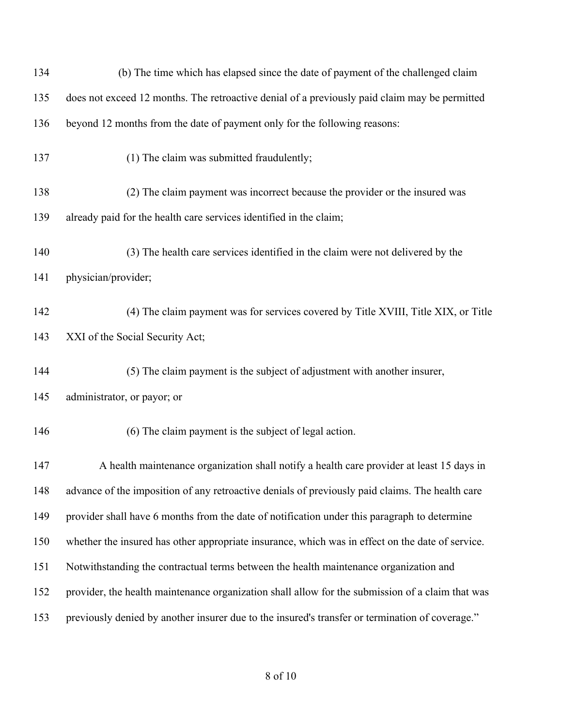| 134 | (b) The time which has elapsed since the date of payment of the challenged claim                 |
|-----|--------------------------------------------------------------------------------------------------|
| 135 | does not exceed 12 months. The retroactive denial of a previously paid claim may be permitted    |
| 136 | beyond 12 months from the date of payment only for the following reasons:                        |
| 137 | (1) The claim was submitted fraudulently;                                                        |
| 138 | (2) The claim payment was incorrect because the provider or the insured was                      |
| 139 | already paid for the health care services identified in the claim;                               |
| 140 | (3) The health care services identified in the claim were not delivered by the                   |
| 141 | physician/provider;                                                                              |
| 142 | (4) The claim payment was for services covered by Title XVIII, Title XIX, or Title               |
| 143 | XXI of the Social Security Act;                                                                  |
| 144 | (5) The claim payment is the subject of adjustment with another insurer,                         |
| 145 | administrator, or payor; or                                                                      |
| 146 | (6) The claim payment is the subject of legal action.                                            |
| 147 | A health maintenance organization shall notify a health care provider at least 15 days in        |
| 148 | advance of the imposition of any retroactive denials of previously paid claims. The health care  |
| 149 | provider shall have 6 months from the date of notification under this paragraph to determine     |
| 150 | whether the insured has other appropriate insurance, which was in effect on the date of service. |
| 151 | Notwithstanding the contractual terms between the health maintenance organization and            |
| 152 | provider, the health maintenance organization shall allow for the submission of a claim that was |
| 153 | previously denied by another insurer due to the insured's transfer or termination of coverage."  |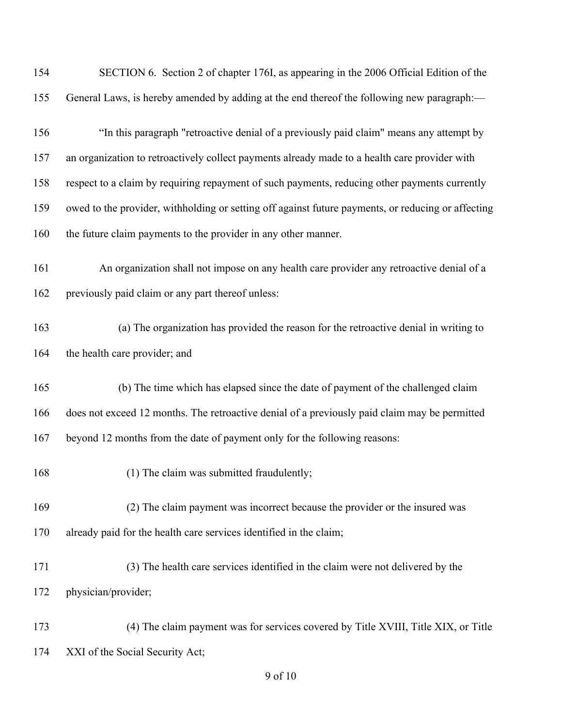| 154 | SECTION 6. Section 2 of chapter 176I, as appearing in the 2006 Official Edition of the             |
|-----|----------------------------------------------------------------------------------------------------|
| 155 | General Laws, is hereby amended by adding at the end thereof the following new paragraph:—         |
| 156 | "In this paragraph "retroactive denial of a previously paid claim" means any attempt by            |
| 157 | an organization to retroactively collect payments already made to a health care provider with      |
| 158 | respect to a claim by requiring repayment of such payments, reducing other payments currently      |
| 159 | owed to the provider, withholding or setting off against future payments, or reducing or affecting |
| 160 | the future claim payments to the provider in any other manner.                                     |
| 161 | An organization shall not impose on any health care provider any retroactive denial of a           |
| 162 | previously paid claim or any part thereof unless:                                                  |
| 163 | (a) The organization has provided the reason for the retroactive denial in writing to              |
| 164 | the health care provider; and                                                                      |
| 165 | (b) The time which has elapsed since the date of payment of the challenged claim                   |
| 166 | does not exceed 12 months. The retroactive denial of a previously paid claim may be permitted      |
| 167 | beyond 12 months from the date of payment only for the following reasons:                          |
| 168 | (1) The claim was submitted fraudulently;                                                          |
| 169 | (2) The claim payment was incorrect because the provider or the insured was                        |
| 170 | already paid for the health care services identified in the claim;                                 |
| 171 | (3) The health care services identified in the claim were not delivered by the                     |
| 172 | physician/provider;                                                                                |
| 173 | (4) The claim payment was for services covered by Title XVIII, Title XIX, or Title                 |
| 174 | XXI of the Social Security Act;                                                                    |